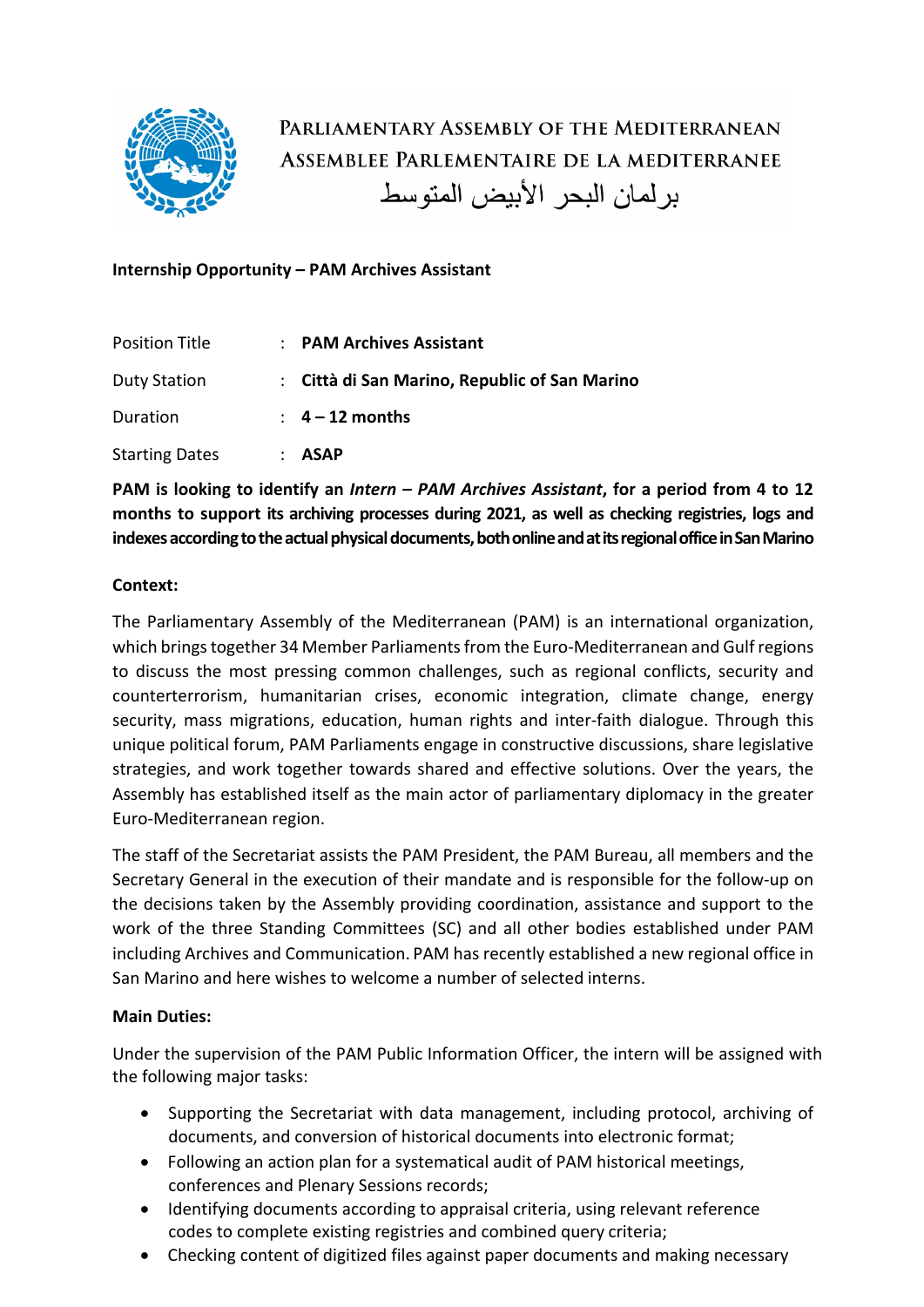

PARLIAMENTARY ASSEMBLY OF THE MEDITERRANEAN ASSEMBLEE PARLEMENTAIRE DE LA MEDITERRANEE بر لمان البحر الأبيض المتوسط

# **Internship Opportunity – PAM Archives Assistant**

| <b>Position Title</b> | : PAM Archives Assistant                      |
|-----------------------|-----------------------------------------------|
| <b>Duty Station</b>   | : Città di San Marino, Republic of San Marino |
| Duration              | $\therefore$ 4 – 12 months                    |
| <b>Starting Dates</b> | <b>ASAP</b>                                   |

**PAM is looking to identify an** *Intern – PAM Archives Assistant***, for a period from 4 to 12 months to support its archiving processes during 2021, as well as checking registries, logs and**  indexes according to the actual physical documents, both online and at its regional office in San Marino

### **Context:**

The Parliamentary Assembly of the Mediterranean (PAM) is an international organization, which brings together 34 Member Parliaments from the Euro-Mediterranean and Gulf regions to discuss the most pressing common challenges, such as regional conflicts, security and counterterrorism, humanitarian crises, economic integration, climate change, energy security, mass migrations, education, human rights and inter-faith dialogue. Through this unique political forum, PAM Parliaments engage in constructive discussions, share legislative strategies, and work together towards shared and effective solutions. Over the years, the Assembly has established itself as the main actor of parliamentary diplomacy in the greater Euro-Mediterranean region.

The staff of the Secretariat assists the PAM President, the PAM Bureau, all members and the Secretary General in the execution of their mandate and is responsible for the follow-up on the decisions taken by the Assembly providing coordination, assistance and support to the work of the three Standing Committees (SC) and all other bodies established under PAM including Archives and Communication. PAM has recently established a new regional office in San Marino and here wishes to welcome a number of selected interns.

#### **Main Duties:**

Under the supervision of the PAM Public Information Officer, the intern will be assigned with the following major tasks:

- Supporting the Secretariat with data management, including protocol, archiving of documents, and conversion of historical documents into electronic format;
- Following an action plan for a systematical audit of PAM historical meetings, conferences and Plenary Sessions records;
- Identifying documents according to appraisal criteria, using relevant reference codes to complete existing registries and combined query criteria;
- Checking content of digitized files against paper documents and making necessary